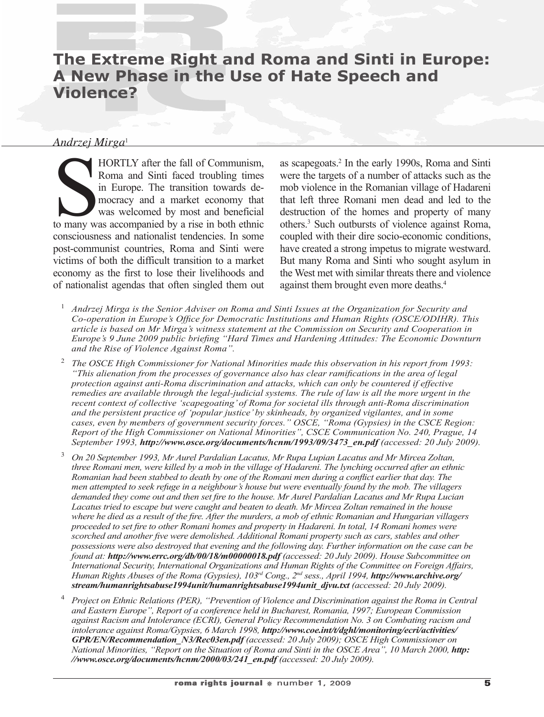## **The Extreme Right and Roma and Sinti in Europe: A New Phase in the Use of Hate Speech and Violence?**

 $H = H + H + H + H + H$ 

## *Andrzej Mirga*<sup>1</sup>

HORTLY after the fall of Communism,<br>
Roma and Sinti faced troubling times<br>
in Europe. The transition towards de-<br>
mocracy and a market economy that<br>
was welcomed by most and beneficial<br>
to many was accompanied by a rise in HORTLY after the fall of Communism, Roma and Sinti faced troubling times in Europe. The transition towards democracy and a market economy that was welcomed by most and beneficial consciousness and nationalist tendencies. In some post-communist countries, Roma and Sinti were victims of both the difficult transition to a market economy as the first to lose their livelihoods and of nationalist agendas that often singled them out

as scapegoats.2 In the early 1990s, Roma and Sinti were the targets of a number of attacks such as the mob violence in the Romanian village of Hadareni that left three Romani men dead and led to the destruction of the homes and property of many others.3 Such outbursts of violence against Roma, coupled with their dire socio-economic conditions, have created a strong impetus to migrate westward. But many Roma and Sinti who sought asylum in the West met with similar threats there and violence against them brought even more deaths.4

- <sup>1</sup> *Andrzej Mirga is the Senior Adviser on Roma and Sinti Issues at the Organization for Security and Co-operation in Europe's Office for Democratic Institutions and Human Rights (OSCE/ODIHR). This article is based on Mr Mirga's witness statement at the Commission on Security and Cooperation in Europe's 9 June 2009 public briefing "Hard Times and Hardening Attitudes: The Economic Downturn and the Rise of Violence Against Roma".*
- <sup>2</sup> *The OSCE High Commissioner for National Minorities made this observation in his report from 1993: "This alienation from the processes of governance also has clear ramifications in the area of legal protection against anti-Roma discrimination and attacks, which can only be countered if effective remedies are available through the legal-judicial systems. The rule of law is all the more urgent in the recent context of collective 'scapegoating' of Roma for societal ills through anti-Roma discrimination and the persistent practice of 'popular justice' by skinheads, by organized vigilantes, and in some cases, even by members of government security forces." OSCE, "Roma (Gypsies) in the CSCE Region: Report of the High Commissioner on National Minorities", CSCE Communication No. 240, Prague, 14 September 1993, http://www.osce.org/documents/hcnm/1993/09/3473\_en.pdf (accessed: 20 July 2009).*
- <sup>3</sup> *On 20 September 1993, Mr Aurel Pardalian Lacatus, Mr Rupa Lupian Lacatus and Mr Mircea Zoltan, three Romani men, were killed by a mob in the village of Hadareni. The lynching occurred after an ethnic Romanian had been stabbed to death by one of the Romani men during a conflict earlier that day. The men attempted to seek refuge in a neighbour's house but were eventually found by the mob. The villagers demanded they come out and then set fire to the house. Mr Aurel Pardalian Lacatus and Mr Rupa Lucian Lacatus tried to escape but were caught and beaten to death. Mr Mircea Zoltan remained in the house where he died as a result of the fire. After the murders, a mob of ethnic Romanian and Hungarian villagers proceeded to set fire to other Romani homes and property in Hadareni. In total, 14 Romani homes were scorched and another five were demolished. Additional Romani property such as cars, stables and other possessions were also destroyed that evening and the following day. Further information on the case can be found at: http://www.errc.org/db/00/18/m00000018.pdf (accessed: 20 July 2009). House Subcommittee on International Security, International Organizations and Human Rights of the Committee on Foreign Affairs, Human Rights Abuses of the Roma (Gypsies), 103<sup>rd</sup> Cong., 2<sup>nd</sup> sess., April 1994, <i>http://www.archive.org/ stream/humanrightsabuse1994unit/humanrightsabuse1994unit\_djvu.txt (accessed: 20 July 2009).*
- <sup>4</sup> *Project on Ethnic Relations (PER), "Prevention of Violence and Discrimination against the Roma in Central and Eastern Europe", Report of a conference held in Bucharest, Romania, 1997; European Commission against Racism and Intolerance (ECRI), General Policy Recommendation No. 3 on Combating racism and intolerance against Roma/Gypsies, 6 March 1998, http://www.coe.int/t/dghl/monitoring/ecri/activities/ GPR/EN/Recommendation\_N3/Rec03en.pdf (accessed: 20 July 2009); OSCE High Commissioner on National Minorities, "Report on the Situation of Roma and Sinti in the OSCE Area", 10 March 2000, http: //www.osce.org/documents/hcnm/2000/03/241\_en.pdf (accessed: 20 July 2009).*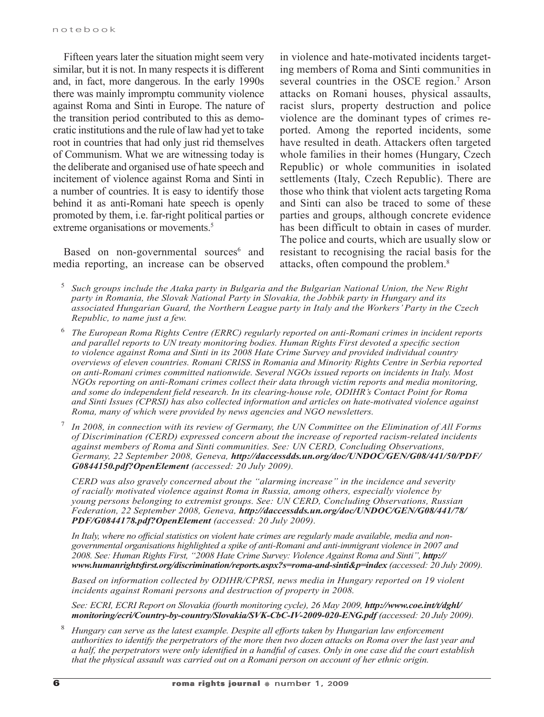Fifteen years later the situation might seem very similar, but it is not. In many respects it is different and, in fact, more dangerous. In the early 1990s there was mainly impromptu community violence against Roma and Sinti in Europe. The nature of the transition period contributed to this as democratic institutions and the rule of law had yet to take root in countries that had only just rid themselves of Communism. What we are witnessing today is the deliberate and organised use of hate speech and incitement of violence against Roma and Sinti in a number of countries. It is easy to identify those behind it as anti-Romani hate speech is openly promoted by them, i.e. far-right political parties or extreme organisations or movements.<sup>5</sup>

Based on non-governmental sources<sup>6</sup> and media reporting, an increase can be observed

in violence and hate-motivated incidents targeting members of Roma and Sinti communities in several countries in the OSCE region.<sup>7</sup> Arson attacks on Romani houses, physical assaults, racist slurs, property destruction and police violence are the dominant types of crimes reported. Among the reported incidents, some have resulted in death. Attackers often targeted whole families in their homes (Hungary, Czech Republic) or whole communities in isolated settlements (Italy, Czech Republic). There are those who think that violent acts targeting Roma and Sinti can also be traced to some of these parties and groups, although concrete evidence has been difficult to obtain in cases of murder. The police and courts, which are usually slow or resistant to recognising the racial basis for the attacks, often compound the problem.8

- <sup>5</sup> *Such groups include the Ataka party in Bulgaria and the Bulgarian National Union, the New Right party in Romania, the Slovak National Party in Slovakia, the Jobbik party in Hungary and its associated Hungarian Guard, the Northern League party in Italy and the Workers' Party in the Czech Republic, to name just a few.*
- <sup>6</sup> *The European Roma Rights Centre (ERRC) regularly reported on anti-Romani crimes in incident reports and parallel reports to UN treaty monitoring bodies. Human Rights First devoted a specific section to violence against Roma and Sinti in its 2008 Hate Crime Survey and provided individual country overviews of eleven countries. Romani CRISS in Romania and Minority Rights Centre in Serbia reported on anti-Romani crimes committed nationwide. Several NGOs issued reports on incidents in Italy. Most NGOs reporting on anti-Romani crimes collect their data through victim reports and media monitoring, and some do independent field research. In its clearing-house role, ODIHR's Contact Point for Roma and Sinti Issues (CPRSI) has also collected information and articles on hate-motivated violence against Roma, many of which were provided by news agencies and NGO newsletters.*
- <sup>7</sup> *In 2008, in connection with its review of Germany, the UN Committee on the Elimination of All Forms of Discrimination (CERD) expressed concern about the increase of reported racism-related incidents against members of Roma and Sinti communities. See: UN CERD, Concluding Observations, Germany, 22 September 2008, Geneva, http://daccessdds.un.org/doc/UNDOC/GEN/G08/441/50/PDF/ G0844150.pdf?OpenElement (accessed: 20 July 2009).*

*CERD was also gravely concerned about the "alarming increase" in the incidence and severity of racially motivated violence against Roma in Russia, among others, especially violence by young persons belonging to extremist groups. See: UN CERD, Concluding Observations, Russian Federation, 22 September 2008, Geneva, http://daccessdds.un.org/doc/UNDOC/GEN/G08/441/78/ PDF/G0844178.pdf?OpenElement (accessed: 20 July 2009).*

*In Italy, where no official statistics on violent hate crimes are regularly made available, media and nongovernmental organisations highlighted a spike of anti-Romani and anti-immigrant violence in 2007 and 2008. See: Human Rights First, "2008 Hate Crime Survey: Violence Against Roma and Sinti", http:// www.humanrightsfirst.org/discrimination/reports.aspx?s=roma-and-sinti&p=index (accessed: 20 July 2009).*

*Based on information collected by ODIHR/CPRSI, news media in Hungary reported on 19 violent incidents against Romani persons and destruction of property in 2008.* 

See: ECRI, ECRI Report on Slovakia (fourth monitoring cycle), 26 May 2009, http://www.coe.int/t/dghl/ *monitoring/ecri/Country-by-country/Slovakia/SVK-CbC-IV-2009-020-ENG.pdf (accessed: 20 July 2009).* 

<sup>8</sup> *Hungary can serve as the latest example. Despite all efforts taken by Hungarian law enforcement authorities to identify the perpetrators of the more then two dozen attacks on Roma over the last year and a half, the perpetrators were only identified in a handful of cases. Only in one case did the court establish that the physical assault was carried out on a Romani person on account of her ethnic origin.*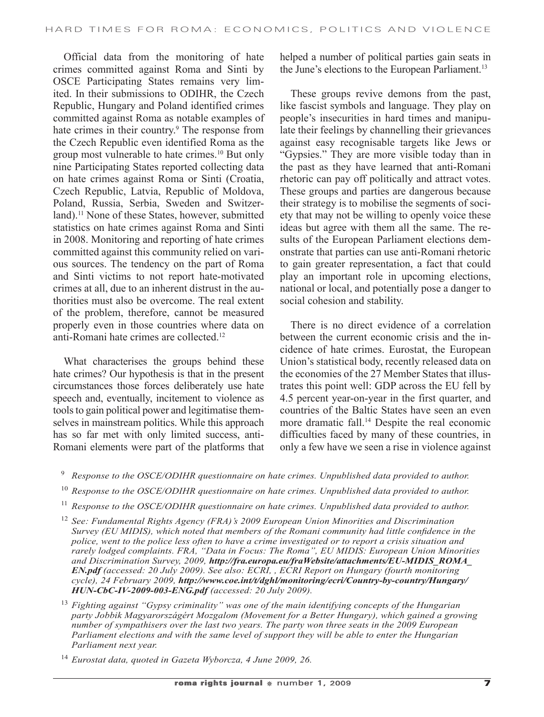Official data from the monitoring of hate crimes committed against Roma and Sinti by OSCE Participating States remains very limited. In their submissions to ODIHR, the Czech Republic, Hungary and Poland identified crimes committed against Roma as notable examples of hate crimes in their country.<sup>9</sup> The response from the Czech Republic even identified Roma as the group most vulnerable to hate crimes.10 But only nine Participating States reported collecting data on hate crimes against Roma or Sinti (Croatia, Czech Republic, Latvia, Republic of Moldova, Poland, Russia, Serbia, Sweden and Switzerland).<sup>11</sup> None of these States, however, submitted statistics on hate crimes against Roma and Sinti in 2008. Monitoring and reporting of hate crimes committed against this community relied on various sources. The tendency on the part of Roma and Sinti victims to not report hate-motivated crimes at all, due to an inherent distrust in the authorities must also be overcome. The real extent of the problem, therefore, cannot be measured properly even in those countries where data on anti-Romani hate crimes are collected<sup>12</sup>

What characterises the groups behind these hate crimes? Our hypothesis is that in the present circumstances those forces deliberately use hate speech and, eventually, incitement to violence as tools to gain political power and legitimatise themselves in mainstream politics. While this approach has so far met with only limited success, anti-Romani elements were part of the platforms that helped a number of political parties gain seats in the June's elections to the European Parliament.<sup>13</sup>

These groups revive demons from the past, like fascist symbols and language. They play on people's insecurities in hard times and manipulate their feelings by channelling their grievances against easy recognisable targets like Jews or "Gypsies." They are more visible today than in the past as they have learned that anti-Romani rhetoric can pay off politically and attract votes. These groups and parties are dangerous because their strategy is to mobilise the segments of society that may not be willing to openly voice these ideas but agree with them all the same. The results of the European Parliament elections demonstrate that parties can use anti-Romani rhetoric to gain greater representation, a fact that could play an important role in upcoming elections, national or local, and potentially pose a danger to social cohesion and stability.

There is no direct evidence of a correlation between the current economic crisis and the incidence of hate crimes. Eurostat, the European Union's statistical body, recently released data on the economies of the 27 Member States that illustrates this point well: GDP across the EU fell by 4.5 percent year-on-year in the first quarter, and countries of the Baltic States have seen an even more dramatic fall.14 Despite the real economic difficulties faced by many of these countries, in only a few have we seen a rise in violence against

- <sup>10</sup> *Response to the OSCE/ODIHR questionnaire on hate crimes. Unpublished data provided to author.*
- <sup>11</sup> *Response to the OSCE/ODIHR questionnaire on hate crimes. Unpublished data provided to author.*

<sup>9</sup> *Response to the OSCE/ODIHR questionnaire on hate crimes. Unpublished data provided to author.*

<sup>12</sup> *See: Fundamental Rights Agency (FRA)'s 2009 European Union Minorities and Discrimination Survey (EU MIDIS), which noted that members of the Romani community had little confidence in the police, went to the police less often to have a crime investigated or to report a crisis situation and rarely lodged complaints. FRA, "Data in Focus: The Roma", EU MIDIS: European Union Minorities and Discrimination Survey, 2009, http://fra.europa.eu/fraWebsite/attachments/EU-MIDIS\_ROMA\_ EN.pdf (accessed: 20 July 2009). See also: ECRI, , ECRI Report on Hungary (fourth monitoring cycle), 24 February 2009, http://www.coe.int/t/dghl/monitoring/ecri/Country-by-country/Hungary/ HUN-CbC-IV-2009-003-ENG.pdf (accessed: 20 July 2009).* 

<sup>13</sup> *Fighting against "Gypsy criminality" was one of the main identifying concepts of the Hungarian party Jobbik Magyarországért Mozgalom (Movement for a Better Hungary), which gained a growing number of sympathisers over the last two years. The party won three seats in the 2009 European Parliament elections and with the same level of support they will be able to enter the Hungarian Parliament next year.* 

<sup>14</sup> *Eurostat data, quoted in Gazeta Wyborcza, 4 June 2009, 26.*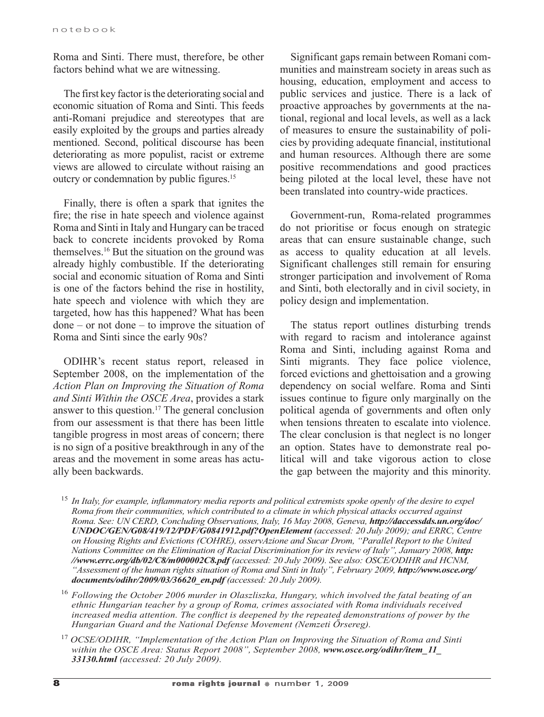Roma and Sinti. There must, therefore, be other factors behind what we are witnessing.

The first key factor is the deteriorating social and economic situation of Roma and Sinti. This feeds anti-Romani prejudice and stereotypes that are easily exploited by the groups and parties already mentioned. Second, political discourse has been deteriorating as more populist, racist or extreme views are allowed to circulate without raising an outcry or condemnation by public figures.15

Finally, there is often a spark that ignites the fire; the rise in hate speech and violence against Roma and Sinti in Italy and Hungary can be traced back to concrete incidents provoked by Roma themselves.16 But the situation on the ground was already highly combustible. If the deteriorating social and economic situation of Roma and Sinti is one of the factors behind the rise in hostility, hate speech and violence with which they are targeted, how has this happened? What has been done – or not done – to improve the situation of Roma and Sinti since the early 90s?

ODIHR's recent status report, released in September 2008, on the implementation of the *Action Plan on Improving the Situation of Roma and Sinti Within the OSCE Area*, provides a stark answer to this question.17 The general conclusion from our assessment is that there has been little tangible progress in most areas of concern; there is no sign of a positive breakthrough in any of the areas and the movement in some areas has actually been backwards.

Significant gaps remain between Romani communities and mainstream society in areas such as housing, education, employment and access to public services and justice. There is a lack of proactive approaches by governments at the national, regional and local levels, as well as a lack of measures to ensure the sustainability of policies by providing adequate financial, institutional and human resources. Although there are some positive recommendations and good practices being piloted at the local level, these have not been translated into country-wide practices.

Government-run, Roma-related programmes do not prioritise or focus enough on strategic areas that can ensure sustainable change, such as access to quality education at all levels. Significant challenges still remain for ensuring stronger participation and involvement of Roma and Sinti, both electorally and in civil society, in policy design and implementation.

The status report outlines disturbing trends with regard to racism and intolerance against Roma and Sinti, including against Roma and Sinti migrants. They face police violence, forced evictions and ghettoisation and a growing dependency on social welfare. Roma and Sinti issues continue to figure only marginally on the political agenda of governments and often only when tensions threaten to escalate into violence. The clear conclusion is that neglect is no longer an option. States have to demonstrate real political will and take vigorous action to close the gap between the majority and this minority.

<sup>16</sup> *Following the October 2006 murder in Olaszliszka, Hungary, which involved the fatal beating of an ethnic Hungarian teacher by a group of Roma, crimes associated with Roma individuals received increased media attention. The conflict is deepened by the repeated demonstrations of power by the Hungarian Guard and the National Defense Movement (Nemzeti Őrsereg).*

<sup>17</sup> *OCSE/ODIHR, "Implementation of the Action Plan on Improving the Situation of Roma and Sinti*  within the OSCE Area: Status Report 2008", September 2008, www.osce.org/odihr/item\_11\_ *33130.html (accessed: 20 July 2009).* 

<sup>&</sup>lt;sup>15</sup> In Italy, for example, inflammatory media reports and political extremists spoke openly of the desire to expel *Roma from their communities, which contributed to a climate in which physical attacks occurred against Roma. See: UN CERD, Concluding Observations, Italy, 16 May 2008, Geneva, http://daccessdds.un.org/doc/ UNDOC/GEN/G08/419/12/PDF/G0841912.pdf?OpenElement (accessed: 20 July 2009); and ERRC, Centre on Housing Rights and Evictions (COHRE), osservAzione and Sucar Drom, "Parallel Report to the United Nations Committee on the Elimination of Racial Discrimination for its review of Italy", January 2008, http: //www.errc.org/db/02/C8/m000002C8.pdf (accessed: 20 July 2009). See also: OSCE/ODIHR and HCNM,*  "Assessment of the human rights situation of Roma and Sinti in Italy", February 2009, **http://www.osce.org/** *documents/odihr/2009/03/36620\_en.pdf (accessed: 20 July 2009).*